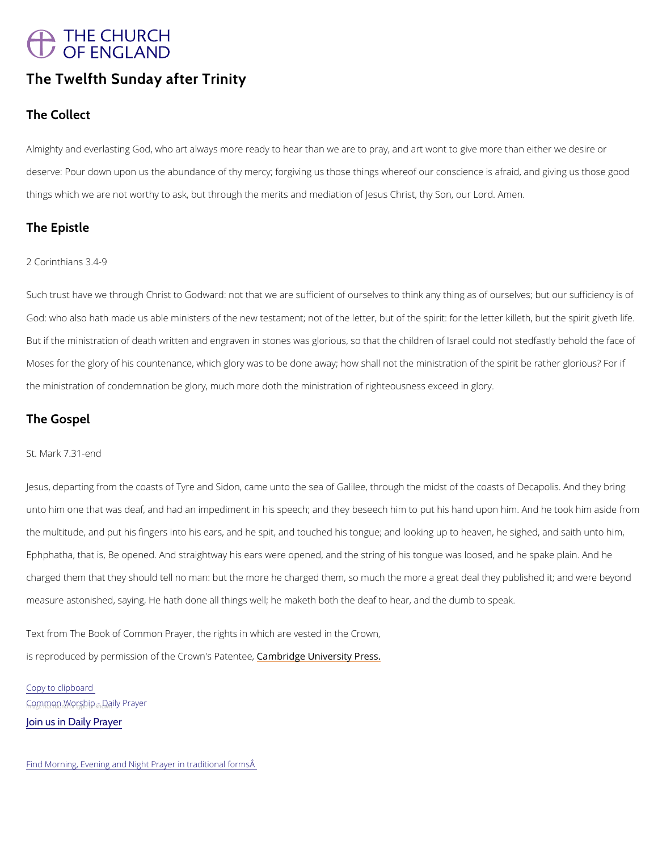# THE CHURCH<br>OF ENGLAND

# The Twelfth Sunday after Trinity

The Collect

Almighand everlasting God, who art always more ready to hear than we are to pray, and art w deserve: Pour down upon us the abundance of thy mercy; forgiving us those things whereof o things which we are not worthy to ask, but through the merits and medimetion of Jesus Christ,

#### The Epistle

2 Corinthians 3.4-9

Such rust have we through Christ to Godward: not that we are sufficient of ourselves to think God: who also hath made us able ministers of the new testament; not of the letter, but of the But if the ministration of death written and engraven in stones was glorious, so that the child Moses for the glory of his countenance, which glory was to be done away; how shall not the minister the ministration of condemnation be glory, much more doth the ministration of righteousness

The Gospel

St. Mark 7.31-end

Jesusdeparting from the coasts of Tyre and Sidon, came unto the sea of Galilee, through the unto him one that was deaf, and had an impediment in his speech; and they beseech him to p the multitude, and put his fingers into his ears, and he spit, and touched his tongue; and loo Ephphatha, that is, Be opened. And straightway his ears were opened, and the string of his t charged them that they should tell no man: but the more he charged them, so much the more measure astonished, saying, He hath done all things well; he maketh both the deaf to hear, a

Text from The Book of Common Prayer, the rights in which are vested in the Crown,

is reproduced by permission of the  $C$   $\mathcal C$  modwind ge P behavior and  $\mathcal C$  Press.

Copy to clipboard

 $G_{n}$   $Q_{n}$  mean  $W_{n}$   $Q_{n}$   $S_{n}$   $D_{n}$   $D_{n}$   $D_{n}$   $P_{n}$  ily Prayer

[Join us in Daily Prayer](https://www.churchofengland.org/prayer-and-worship/join-us-in-daily-prayer)

Find Morning, Evening and Night Prayer in traditional forms